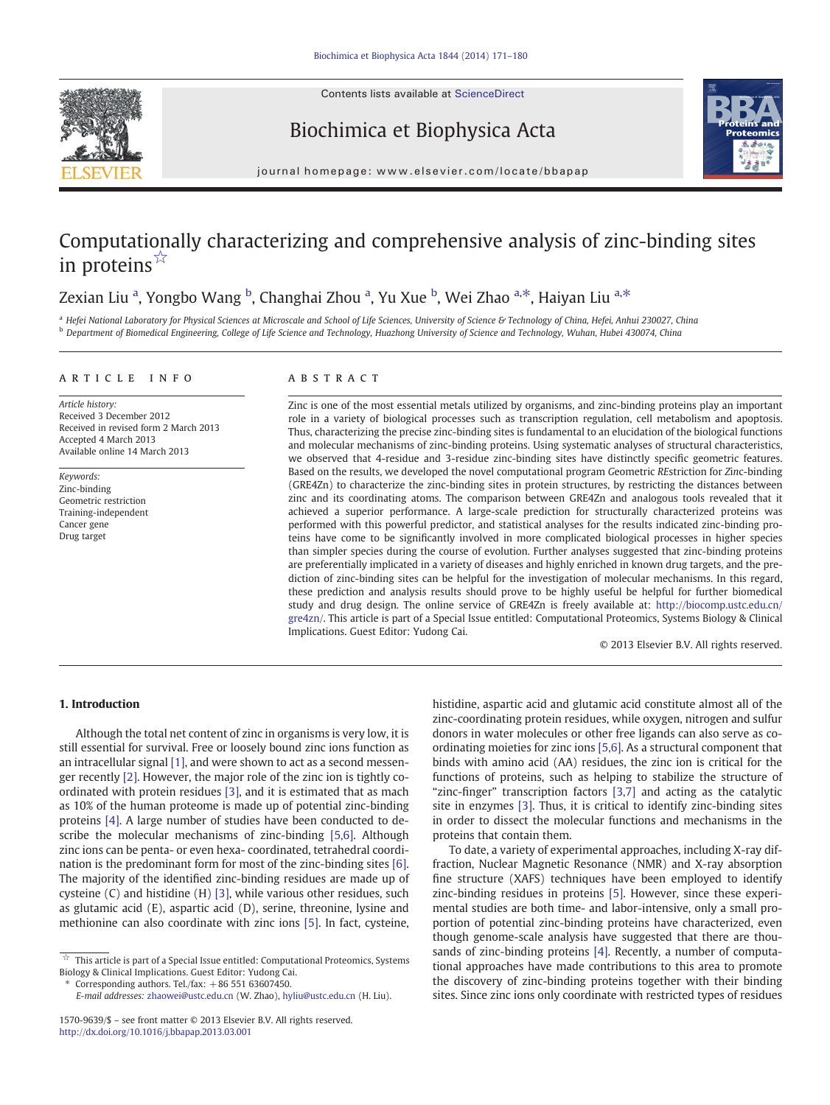Contents lists available at ScienceDirect





Biochimica et Biophysica Acta

journal homepage: www.elsevier.com/locate/bbapap

# Computationally characterizing and comprehensive analysis of zinc-binding sites in proteins $\mathbb{R}$

# Zexian Liu <sup>a</sup>, Yongbo Wang <sup>b</sup>, Changhai Zhou <sup>a</sup>, Yu Xue <sup>b</sup>, Wei Zhao <sup>a,\*</sup>, Haiyan Liu <sup>a,\*</sup>

<sup>a</sup> Hefei National Laboratory for Physical Sciences at Microscale and School of Life Sciences, University of Science & Technology of China, Hefei, Anhui 230027, China **b** Department of Biomedical Engineering, College of Life Science and Technology, Huazhong University of Science and Technology, Wuhan, Hubei 430074, China

#### article info abstract

Article history: Received 3 December 2012 Received in revised form 2 March 2013 Accepted 4 March 2013 Available online 14 March 2013

Keywords: Zinc-binding Geometric restriction Training-independent Cancer gene Drug target

Zinc is one of the most essential metals utilized by organisms, and zinc-binding proteins play an important role in a variety of biological processes such as transcription regulation, cell metabolism and apoptosis. Thus, characterizing the precise zinc-binding sites is fundamental to an elucidation of the biological functions and molecular mechanisms of zinc-binding proteins. Using systematic analyses of structural characteristics, we observed that 4-residue and 3-residue zinc-binding sites have distinctly specific geometric features. Based on the results, we developed the novel computational program Geometric REstriction for Zinc-binding (GRE4Zn) to characterize the zinc-binding sites in protein structures, by restricting the distances between zinc and its coordinating atoms. The comparison between GRE4Zn and analogous tools revealed that it achieved a superior performance. A large-scale prediction for structurally characterized proteins was performed with this powerful predictor, and statistical analyses for the results indicated zinc-binding proteins have come to be significantly involved in more complicated biological processes in higher species than simpler species during the course of evolution. Further analyses suggested that zinc-binding proteins are preferentially implicated in a variety of diseases and highly enriched in known drug targets, and the prediction of zinc-binding sites can be helpful for the investigation of molecular mechanisms. In this regard, these prediction and analysis results should prove to be highly useful be helpful for further biomedical study and drug design. The online service of GRE4Zn is freely available at: [http://biocomp.ustc.edu.cn/](http://biocomp.ustc.edu.cn/gre4zn/) [gre4zn/](http://biocomp.ustc.edu.cn/gre4zn/). This article is part of a Special Issue entitled: Computational Proteomics, Systems Biology & Clinical Implications. Guest Editor: Yudong Cai.

© 2013 Elsevier B.V. All rights reserved.

# 1. Introduction

Although the total net content of zinc in organisms is very low, it is still essential for survival. Free or loosely bound zinc ions function as an intracellular signal [\[1\],](#page-8-0) and were shown to act as a second messenger recently [\[2\]](#page-8-0). However, the major role of the zinc ion is tightly coordinated with protein residues [\[3\],](#page-8-0) and it is estimated that as mach as 10% of the human proteome is made up of potential zinc-binding proteins [\[4\].](#page-8-0) A large number of studies have been conducted to describe the molecular mechanisms of zinc-binding [\[5,6\].](#page-8-0) Although zinc ions can be penta- or even hexa- coordinated, tetrahedral coordination is the predominant form for most of the zinc-binding sites [\[6\].](#page-8-0) The majority of the identified zinc-binding residues are made up of cysteine (C) and histidine (H) [\[3\],](#page-8-0) while various other residues, such as glutamic acid (E), aspartic acid (D), serine, threonine, lysine and methionine can also coordinate with zinc ions [\[5\].](#page-8-0) In fact, cysteine,

Corresponding authors. Tel./fax:  $+86$  551 63607450.

E-mail addresses: [zhaowei@ustc.edu.cn](mailto:zhaowei@ustc.edu.cn) (W. Zhao), [hyliu@ustc.edu.cn](mailto:hyliu@ustc.edu.cn) (H. Liu).

histidine, aspartic acid and glutamic acid constitute almost all of the zinc-coordinating protein residues, while oxygen, nitrogen and sulfur donors in water molecules or other free ligands can also serve as coordinating moieties for zinc ions [\[5,6\].](#page-8-0) As a structural component that binds with amino acid (AA) residues, the zinc ion is critical for the functions of proteins, such as helping to stabilize the structure of "zinc-finger" transcription factors [\[3,7\]](#page-8-0) and acting as the catalytic site in enzymes [\[3\]](#page-8-0). Thus, it is critical to identify zinc-binding sites in order to dissect the molecular functions and mechanisms in the proteins that contain them.

To date, a variety of experimental approaches, including X-ray diffraction, Nuclear Magnetic Resonance (NMR) and X-ray absorption fine structure (XAFS) techniques have been employed to identify zinc-binding residues in proteins [\[5\]](#page-8-0). However, since these experimental studies are both time- and labor-intensive, only a small proportion of potential zinc-binding proteins have characterized, even though genome-scale analysis have suggested that there are thousands of zinc-binding proteins [\[4\]](#page-8-0). Recently, a number of computational approaches have made contributions to this area to promote the discovery of zinc-binding proteins together with their binding sites. Since zinc ions only coordinate with restricted types of residues

 $\mathring{\tt K}\;$  This article is part of a Special Issue entitled: Computational Proteomics, Systems Biology & Clinical Implications. Guest Editor: Yudong Cai.

<sup>1570-9639/\$</sup> – see front matter © 2013 Elsevier B.V. All rights reserved. <http://dx.doi.org/10.1016/j.bbapap.2013.03.001>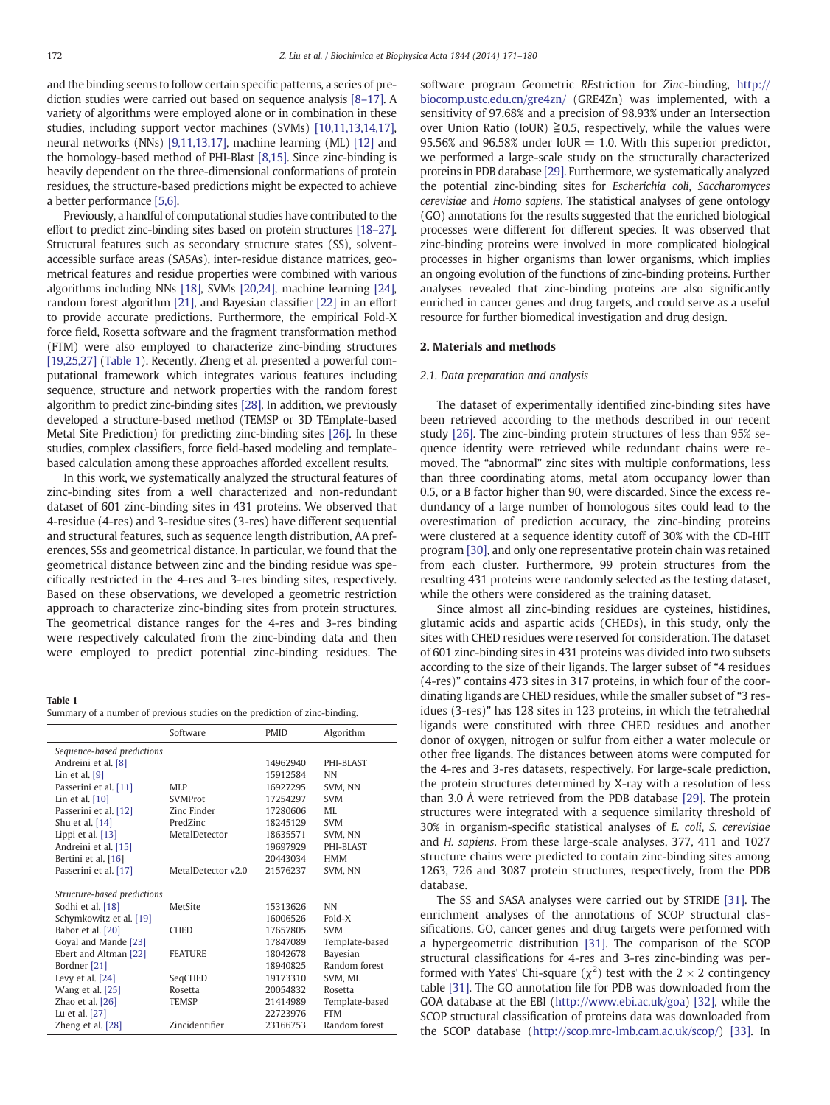<span id="page-1-0"></span>and the binding seems to follow certain specific patterns, a series of prediction studies were carried out based on sequence analysis [8–[17\]](#page-8-0). A variety of algorithms were employed alone or in combination in these studies, including support vector machines (SVMs) [\[10,11,13,14,17\],](#page-8-0) neural networks (NNs) [\[9,11,13,17\],](#page-8-0) machine learning (ML) [\[12\]](#page-8-0) and the homology-based method of PHI-Blast [\[8,15\].](#page-8-0) Since zinc-binding is heavily dependent on the three-dimensional conformations of protein residues, the structure-based predictions might be expected to achieve a better performance [\[5,6\].](#page-8-0)

Previously, a handful of computational studies have contributed to the effort to predict zinc-binding sites based on protein structures [\[18](#page-8-0)–27]. Structural features such as secondary structure states (SS), solventaccessible surface areas (SASAs), inter-residue distance matrices, geometrical features and residue properties were combined with various algorithms including NNs [\[18\]](#page-8-0), SVMs [\[20,24\]](#page-8-0), machine learning [\[24\],](#page-8-0) random forest algorithm [\[21\]](#page-8-0), and Bayesian classifier [\[22\]](#page-8-0) in an effort to provide accurate predictions. Furthermore, the empirical Fold-X force field, Rosetta software and the fragment transformation method (FTM) were also employed to characterize zinc-binding structures [\[19,25,27\]](#page-8-0) (Table 1). Recently, Zheng et al. presented a powerful computational framework which integrates various features including sequence, structure and network properties with the random forest algorithm to predict zinc-binding sites [\[28\]](#page-8-0). In addition, we previously developed a structure-based method (TEMSP or 3D TEmplate-based Metal Site Prediction) for predicting zinc-binding sites [\[26\]](#page-8-0). In these studies, complex classifiers, force field-based modeling and templatebased calculation among these approaches afforded excellent results.

In this work, we systematically analyzed the structural features of zinc-binding sites from a well characterized and non-redundant dataset of 601 zinc-binding sites in 431 proteins. We observed that 4-residue (4-res) and 3-residue sites (3-res) have different sequential and structural features, such as sequence length distribution, AA preferences, SSs and geometrical distance. In particular, we found that the geometrical distance between zinc and the binding residue was specifically restricted in the 4-res and 3-res binding sites, respectively. Based on these observations, we developed a geometric restriction approach to characterize zinc-binding sites from protein structures. The geometrical distance ranges for the 4-res and 3-res binding were respectively calculated from the zinc-binding data and then were employed to predict potential zinc-binding residues. The

Table 1

|  | Summary of a number of previous studies on the prediction of zinc-binding. |  |  |  |
|--|----------------------------------------------------------------------------|--|--|--|
|  |                                                                            |  |  |  |
|  |                                                                            |  |  |  |
|  |                                                                            |  |  |  |

|                             | Software           | <b>PMID</b> | Algorithm      |
|-----------------------------|--------------------|-------------|----------------|
| Sequence-based predictions  |                    |             |                |
| Andreini et al. [8]         |                    | 14962940    | PHI-BLAST      |
| Lin et al. $[9]$            |                    | 15912584    | <b>NN</b>      |
| Passerini et al. [11]       | MLP                | 16927295    | SVM, NN        |
| Lin et al. $[10]$           | <b>SVMProt</b>     | 17254297    | <b>SVM</b>     |
| Passerini et al. [12]       | Zinc Finder        | 17280606    | MI.            |
| Shu et al. $[14]$           | PredZinc           | 18245129    | <b>SVM</b>     |
| Lippi et al. [13]           | MetalDetector      | 18635571    | SVM, NN        |
| Andreini et al. [15]        |                    | 19697929    | PHI-BLAST      |
| Bertini et al. [16]         |                    | 20443034    | <b>HMM</b>     |
| Passerini et al. [17]       | MetalDetector v2.0 | 21576237    | SVM, NN        |
|                             |                    |             |                |
| Structure-based predictions |                    |             |                |
| Sodhi et al. [18]           | <b>MetSite</b>     | 15313626    | <b>NN</b>      |
| Schymkowitz et al. [19]     |                    | 16006526    | Fold-X         |
| Babor et al. [20]           | <b>CHED</b>        | 17657805    | <b>SVM</b>     |
| Goyal and Mande [23]        |                    | 17847089    | Template-based |
| Ebert and Altman [22]       | <b>FEATURE</b>     | 18042678    | Bayesian       |
| Bordner [21]                |                    | 18940825    | Random forest  |
| Levy et al. $[24]$          | SeqCHED            | 19173310    | SVM, ML        |
| Wang et al. [25]            | Rosetta            | 20054832    | Rosetta        |
| Zhao et al. [26]            | <b>TEMSP</b>       | 21414989    | Template-based |
| Lu et al. [27]              |                    | 22723976    | <b>FTM</b>     |
| Zheng et al. [28]           | Zincidentifier     | 23166753    | Random forest  |

software program Geometric REstriction for Zinc-binding, [http://](http://biocomp.ustc.edu.cn/gre4zn/) [biocomp.ustc.edu.cn/gre4zn/](http://biocomp.ustc.edu.cn/gre4zn/) (GRE4Zn) was implemented, with a sensitivity of 97.68% and a precision of 98.93% under an Intersection over Union Ratio (IoUR)  $\geq 0.5$ , respectively, while the values were 95.56% and 96.58% under IoUR  $=$  1.0. With this superior predictor, we performed a large-scale study on the structurally characterized proteins in PDB database [\[29\].](#page-8-0) Furthermore, we systematically analyzed the potential zinc-binding sites for Escherichia coli, Saccharomyces cerevisiae and Homo sapiens. The statistical analyses of gene ontology (GO) annotations for the results suggested that the enriched biological processes were different for different species. It was observed that zinc-binding proteins were involved in more complicated biological processes in higher organisms than lower organisms, which implies an ongoing evolution of the functions of zinc-binding proteins. Further analyses revealed that zinc-binding proteins are also significantly enriched in cancer genes and drug targets, and could serve as a useful resource for further biomedical investigation and drug design.

### 2. Materials and methods

## 2.1. Data preparation and analysis

The dataset of experimentally identified zinc-binding sites have been retrieved according to the methods described in our recent study [\[26\].](#page-8-0) The zinc-binding protein structures of less than 95% sequence identity were retrieved while redundant chains were removed. The "abnormal" zinc sites with multiple conformations, less than three coordinating atoms, metal atom occupancy lower than 0.5, or a B factor higher than 90, were discarded. Since the excess redundancy of a large number of homologous sites could lead to the overestimation of prediction accuracy, the zinc-binding proteins were clustered at a sequence identity cutoff of 30% with the CD-HIT program [\[30\],](#page-8-0) and only one representative protein chain was retained from each cluster. Furthermore, 99 protein structures from the resulting 431 proteins were randomly selected as the testing dataset, while the others were considered as the training dataset.

Since almost all zinc-binding residues are cysteines, histidines, glutamic acids and aspartic acids (CHEDs), in this study, only the sites with CHED residues were reserved for consideration. The dataset of 601 zinc-binding sites in 431 proteins was divided into two subsets according to the size of their ligands. The larger subset of "4 residues (4-res)" contains 473 sites in 317 proteins, in which four of the coordinating ligands are CHED residues, while the smaller subset of "3 residues (3-res)" has 128 sites in 123 proteins, in which the tetrahedral ligands were constituted with three CHED residues and another donor of oxygen, nitrogen or sulfur from either a water molecule or other free ligands. The distances between atoms were computed for the 4-res and 3-res datasets, respectively. For large-scale prediction, the protein structures determined by X-ray with a resolution of less than 3.0 Å were retrieved from the PDB database [\[29\].](#page-8-0) The protein structures were integrated with a sequence similarity threshold of 30% in organism-specific statistical analyses of E. coli, S. cerevisiae and H. sapiens. From these large-scale analyses, 377, 411 and 1027 structure chains were predicted to contain zinc-binding sites among 1263, 726 and 3087 protein structures, respectively, from the PDB database.

The SS and SASA analyses were carried out by STRIDE [\[31\].](#page-8-0) The enrichment analyses of the annotations of SCOP structural classifications, GO, cancer genes and drug targets were performed with a hypergeometric distribution [\[31\].](#page-8-0) The comparison of the SCOP structural classifications for 4-res and 3-res zinc-binding was performed with Yates' Chi-square  $(\chi^2)$  test with the 2  $\times$  2 contingency table [\[31\].](#page-8-0) The GO annotation file for PDB was downloaded from the GOA database at the EBI [\(http://www.ebi.ac.uk/goa\)](http://www.ebi.ac.uk/goa) [\[32\],](#page-8-0) while the SCOP structural classification of proteins data was downloaded from the SCOP database ([http://scop.mrc-lmb.cam.ac.uk/scop/\)](http://scop.mrc-lmb.cam.ac.uk/scop/) [\[33\].](#page-8-0) In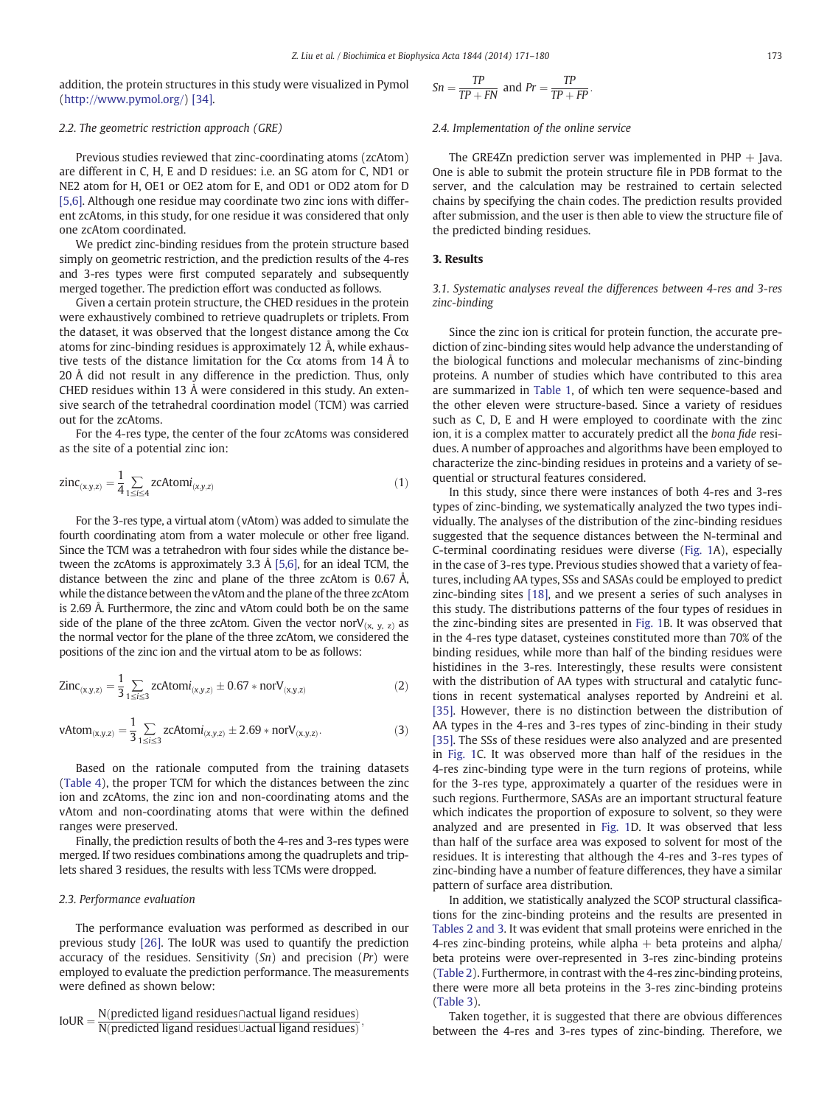<span id="page-2-0"></span>addition, the protein structures in this study were visualized in Pymol [\(http://www.pymol.org/\)](http://www.pymol.org/) [\[34\].](#page-8-0)

## 2.2. The geometric restriction approach (GRE)

Previous studies reviewed that zinc-coordinating atoms (zcAtom) are different in C, H, E and D residues: i.e. an SG atom for C, ND1 or NE2 atom for H, OE1 or OE2 atom for E, and OD1 or OD2 atom for D [\[5,6\]](#page-8-0). Although one residue may coordinate two zinc ions with different zcAtoms, in this study, for one residue it was considered that only one zcAtom coordinated.

We predict zinc-binding residues from the protein structure based simply on geometric restriction, and the prediction results of the 4-res and 3-res types were first computed separately and subsequently merged together. The prediction effort was conducted as follows.

Given a certain protein structure, the CHED residues in the protein were exhaustively combined to retrieve quadruplets or triplets. From the dataset, it was observed that the longest distance among the  $C\alpha$ atoms for zinc-binding residues is approximately 12 Å, while exhaustive tests of the distance limitation for the C $\alpha$  atoms from 14 Å to 20 Å did not result in any difference in the prediction. Thus, only CHED residues within 13 Å were considered in this study. An extensive search of the tetrahedral coordination model (TCM) was carried out for the zcAtoms.

For the 4-res type, the center of the four zcAtoms was considered as the site of a potential zinc ion:

$$
zinc_{(x,y,z)} = \frac{1}{4} \sum_{1 \le i \le 4} zcAtomi_{(x,y,z)}
$$
 (1)

For the 3-res type, a virtual atom (vAtom) was added to simulate the fourth coordinating atom from a water molecule or other free ligand. Since the TCM was a tetrahedron with four sides while the distance between the zcAtoms is approximately 3.3 Å [\[5,6\]](#page-8-0), for an ideal TCM, the distance between the zinc and plane of the three zcAtom is 0.67 Å, while the distance between the vAtom and the plane of the three zcAtom is 2.69 Å. Furthermore, the zinc and vAtom could both be on the same side of the plane of the three zcAtom. Given the vector nor $V_{(x, y, z)}$  as the normal vector for the plane of the three zcAtom, we considered the positions of the zinc ion and the virtual atom to be as follows:

$$
Zinc_{(x,y,z)} = \frac{1}{3} \sum_{1 \le i \le 3} zcAtomi_{(x,y,z)} \pm 0.67 * norV_{(x,y,z)}
$$
(2)

$$
\text{vAtom}_{(x,y,z)} = \frac{1}{3} \sum_{1 \le i \le 3} zcAtomi_{(x,y,z)} \pm 2.69 * norV_{(x,y,z)}.\tag{3}
$$

Based on the rationale computed from the training datasets [\(Table 4\)](#page-4-0), the proper TCM for which the distances between the zinc ion and zcAtoms, the zinc ion and non-coordinating atoms and the vAtom and non-coordinating atoms that were within the defined ranges were preserved.

Finally, the prediction results of both the 4-res and 3-res types were merged. If two residues combinations among the quadruplets and triplets shared 3 residues, the results with less TCMs were dropped.

# 2.3. Performance evaluation

The performance evaluation was performed as described in our previous study [\[26\].](#page-8-0) The IoUR was used to quantify the prediction accuracy of the residues. Sensitivity  $(Sn)$  and precision  $(Pr)$  were employed to evaluate the prediction performance. The measurements were defined as shown below:

$$
IoUR = \frac{N(predicted ligand residues \cap actual ligand residues)}{N(predicted ligand residues \cup actual ligand residues)},
$$

$$
Sn = \frac{TP}{TP + FN} \text{ and } Pr = \frac{TP}{TP + FP}.
$$

### 2.4. Implementation of the online service

The GRE4Zn prediction server was implemented in  $PHP + Java$ . One is able to submit the protein structure file in PDB format to the server, and the calculation may be restrained to certain selected chains by specifying the chain codes. The prediction results provided after submission, and the user is then able to view the structure file of the predicted binding residues.

# 3. Results

3.1. Systematic analyses reveal the differences between 4-res and 3-res zinc-binding

Since the zinc ion is critical for protein function, the accurate prediction of zinc-binding sites would help advance the understanding of the biological functions and molecular mechanisms of zinc-binding proteins. A number of studies which have contributed to this area are summarized in [Table 1](#page-1-0), of which ten were sequence-based and the other eleven were structure-based. Since a variety of residues such as C, D, E and H were employed to coordinate with the zinc ion, it is a complex matter to accurately predict all the bona fide residues. A number of approaches and algorithms have been employed to characterize the zinc-binding residues in proteins and a variety of sequential or structural features considered.

In this study, since there were instances of both 4-res and 3-res types of zinc-binding, we systematically analyzed the two types individually. The analyses of the distribution of the zinc-binding residues suggested that the sequence distances between the N-terminal and C-terminal coordinating residues were diverse ([Fig. 1A](#page-3-0)), especially in the case of 3-res type. Previous studies showed that a variety of features, including AA types, SSs and SASAs could be employed to predict zinc-binding sites [\[18\],](#page-8-0) and we present a series of such analyses in this study. The distributions patterns of the four types of residues in the zinc-binding sites are presented in [Fig. 1](#page-3-0)B. It was observed that in the 4-res type dataset, cysteines constituted more than 70% of the binding residues, while more than half of the binding residues were histidines in the 3-res. Interestingly, these results were consistent with the distribution of AA types with structural and catalytic functions in recent systematical analyses reported by Andreini et al. [\[35\]](#page-8-0). However, there is no distinction between the distribution of AA types in the 4-res and 3-res types of zinc-binding in their study [\[35\]](#page-8-0). The SSs of these residues were also analyzed and are presented in [Fig. 1](#page-3-0)C. It was observed more than half of the residues in the 4-res zinc-binding type were in the turn regions of proteins, while for the 3-res type, approximately a quarter of the residues were in such regions. Furthermore, SASAs are an important structural feature which indicates the proportion of exposure to solvent, so they were analyzed and are presented in [Fig. 1D](#page-3-0). It was observed that less than half of the surface area was exposed to solvent for most of the residues. It is interesting that although the 4-res and 3-res types of zinc-binding have a number of feature differences, they have a similar pattern of surface area distribution.

In addition, we statistically analyzed the SCOP structural classifications for the zinc-binding proteins and the results are presented in [Tables 2 and 3.](#page-3-0) It was evident that small proteins were enriched in the 4-res zinc-binding proteins, while alpha  $+$  beta proteins and alpha/ beta proteins were over-represented in 3-res zinc-binding proteins [\(Table 2](#page-3-0)). Furthermore, in contrast with the 4-res zinc-binding proteins, there were more all beta proteins in the 3-res zinc-binding proteins [\(Table 3\)](#page-3-0).

Taken together, it is suggested that there are obvious differences between the 4-res and 3-res types of zinc-binding. Therefore, we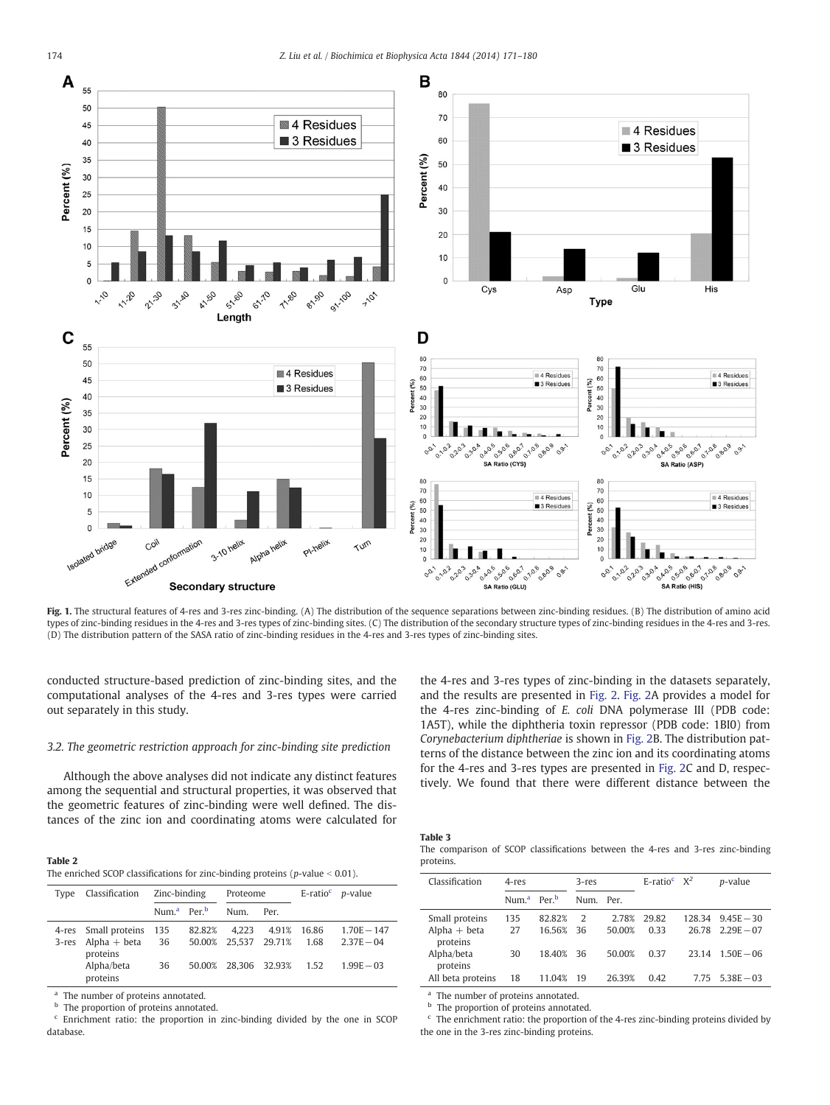<span id="page-3-0"></span>

Fig. 1. The structural features of 4-res and 3-res zinc-binding. (A) The distribution of the sequence separations between zinc-binding residues. (B) The distribution of amino acid types of zinc-binding residues in the 4-res and 3-res types of zinc-binding sites. (C) The distribution of the secondary structure types of zinc-binding residues in the 4-res and 3-res. (D) The distribution pattern of the SASA ratio of zinc-binding residues in the 4-res and 3-res types of zinc-binding sites.

conducted structure-based prediction of zinc-binding sites, and the computational analyses of the 4-res and 3-res types were carried out separately in this study.

#### 3.2. The geometric restriction approach for zinc-binding site prediction

Although the above analyses did not indicate any distinct features among the sequential and structural properties, it was observed that the geometric features of zinc-binding were well defined. The distances of the zinc ion and coordinating atoms were calculated for the 4-res and 3-res types of zinc-binding in the datasets separately, and the results are presented in [Fig. 2](#page-4-0). [Fig. 2A](#page-4-0) provides a model for the 4-res zinc-binding of E. coli DNA polymerase III (PDB code: 1A5T), while the diphtheria toxin repressor (PDB code: 1BI0) from Corynebacterium diphtheriae is shown in [Fig. 2B](#page-4-0). The distribution patterns of the distance between the zinc ion and its coordinating atoms for the 4-res and 3-res types are presented in [Fig. 2](#page-4-0)C and D, respectively. We found that there were different distance between the

| Table 2                                                                           |
|-----------------------------------------------------------------------------------|
| The enriched SCOP classifications for zinc-binding proteins ( $p$ -value < 0.01). |

| Type  | Classification                                                                   | Zinc-binding                        |                  | Proteome                      |                        |                       | E-ratio <sup><math>c</math></sup> <i>p</i> -value |
|-------|----------------------------------------------------------------------------------|-------------------------------------|------------------|-------------------------------|------------------------|-----------------------|---------------------------------------------------|
|       |                                                                                  | Num. <sup>a</sup> Per. <sup>b</sup> |                  | Num.                          | Per.                   |                       |                                                   |
| 3-res | 4-res Small proteins 135<br>$Alpha + beta$<br>proteins<br>Alpha/beta<br>proteins | 36<br>36                            | 82.82%<br>50.00% | 4.223<br>50.00% 25.537 29.71% | 4.91%<br>28.306 32.93% | 16.86<br>1.68<br>1.52 | $1.70E - 147$<br>$2.37E - 04$<br>$1.99E - 03$     |

<sup>a</sup> The number of proteins annotated.

<sup>b</sup> The proportion of proteins annotated.

<sup>c</sup> Enrichment ratio: the proportion in zinc-binding divided by the one in SCOP database.

|--|--|

|           |  | The comparison of SCOP classifications between the 4-res and 3-res zinc-binding |  |  |  |
|-----------|--|---------------------------------------------------------------------------------|--|--|--|
| proteins. |  |                                                                                 |  |  |  |

| Classification                               | 4-res                               |                  | $3$ -res  |                 | E-ratio <sup>c</sup> $X^2$ |                 | p-value                      |
|----------------------------------------------|-------------------------------------|------------------|-----------|-----------------|----------------------------|-----------------|------------------------------|
|                                              | Num. <sup>a</sup> Per. <sup>b</sup> |                  | Num. Per. |                 |                            |                 |                              |
| Small proteins<br>$Alpha + beta$<br>proteins | 135<br>27                           | 82.82%<br>16.56% | 2<br>-36  | 2.78%<br>50.00% | 29.82<br>0.33              | 128.34<br>26.78 | $9.45E - 30$<br>$2.29E - 07$ |
| Alpha/beta<br>proteins                       | 30                                  | 18.40% 36        |           | 50.00%          | 0.37                       | 23.14           | $1.50E - 06$                 |
| All beta proteins                            | 18                                  | 11.04%           | 19        | 26.39%          | 0.42                       |                 | $7.75$ $5.38E - 03$          |

The number of proteins annotated.

**b** The proportion of proteins annotated.

<sup>c</sup> The enrichment ratio: the proportion of the 4-res zinc-binding proteins divided by the one in the 3-res zinc-binding proteins.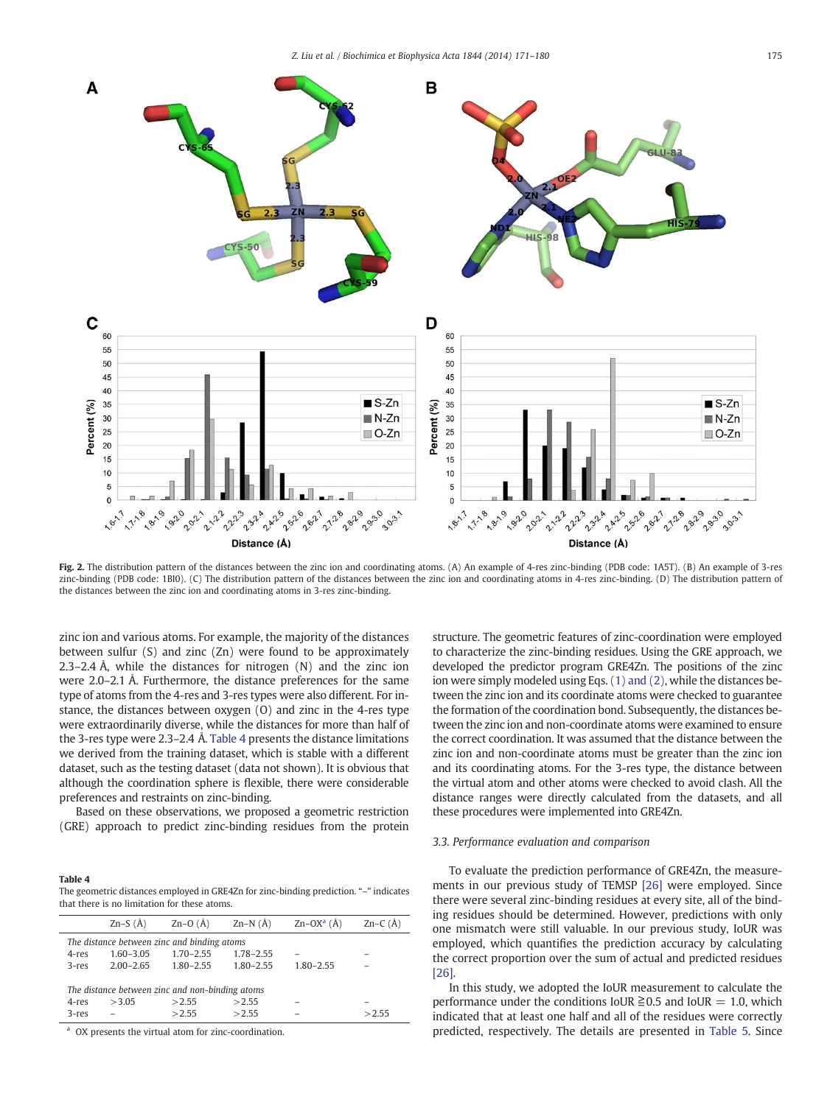<span id="page-4-0"></span>

Fig. 2. The distribution pattern of the distances between the zinc ion and coordinating atoms. (A) An example of 4-res zinc-binding (PDB code: 1A5T). (B) An example of 3-res zinc-binding (PDB code: 1BI0). (C) The distribution pattern of the distances between the zinc ion and coordinating atoms in 4-res zinc-binding. (D) The distribution pattern of the distances between the zinc ion and coordinating atoms in 3-res zinc-binding.

zinc ion and various atoms. For example, the majority of the distances between sulfur (S) and zinc (Zn) were found to be approximately 2.3–2.4 Å, while the distances for nitrogen (N) and the zinc ion were 2.0–2.1 Å. Furthermore, the distance preferences for the same type of atoms from the 4-res and 3-res types were also different. For instance, the distances between oxygen (O) and zinc in the 4-res type were extraordinarily diverse, while the distances for more than half of the 3-res type were 2.3–2.4 Å. Table 4 presents the distance limitations we derived from the training dataset, which is stable with a different dataset, such as the testing dataset (data not shown). It is obvious that although the coordination sphere is flexible, there were considerable preferences and restraints on zinc-binding.

Based on these observations, we proposed a geometric restriction (GRE) approach to predict zinc-binding residues from the protein

#### Table 4

The geometric distances employed in GRE4Zn for zinc-binding prediction. "–" indicates that there is no limitation for these atoms.

|          | Zn–S $(\AA)$                                    | $Zn-O(A)$                                   | $Zn-N(\AA)$    | $Zn-OXa$ (Å)  | $Zn-C(A)$ |  |  |  |  |
|----------|-------------------------------------------------|---------------------------------------------|----------------|---------------|-----------|--|--|--|--|
|          |                                                 | The distance between zinc and binding atoms |                |               |           |  |  |  |  |
| 4-res    | $1.60 - 3.05$                                   | $1.70 - 2.55$                               | $1.78 - 2.55$  |               |           |  |  |  |  |
| $3$ -res | $2.00 - 2.65$                                   | $1.80 - 2.55$                               | $1.80 - 2.55$  | $1.80 - 2.55$ |           |  |  |  |  |
| 4-res    | The distance between zinc and non-binding atoms |                                             |                |               |           |  |  |  |  |
| $3$ -res | >3.05                                           | >2.55<br>>2.55                              | >2.55<br>>2.55 |               | >2.55     |  |  |  |  |
|          |                                                 |                                             |                |               |           |  |  |  |  |

OX presents the virtual atom for zinc-coordination.

structure. The geometric features of zinc-coordination were employed to characterize the zinc-binding residues. Using the GRE approach, we developed the predictor program GRE4Zn. The positions of the zinc ion were simply modeled using Eqs. [\(1\) and \(2\)](#page-2-0), while the distances between the zinc ion and its coordinate atoms were checked to guarantee the formation of the coordination bond. Subsequently, the distances between the zinc ion and non-coordinate atoms were examined to ensure the correct coordination. It was assumed that the distance between the zinc ion and non-coordinate atoms must be greater than the zinc ion and its coordinating atoms. For the 3-res type, the distance between the virtual atom and other atoms were checked to avoid clash. All the distance ranges were directly calculated from the datasets, and all these procedures were implemented into GRE4Zn.

#### 3.3. Performance evaluation and comparison

To evaluate the prediction performance of GRE4Zn, the measurements in our previous study of TEMSP [\[26\]](#page-8-0) were employed. Since there were several zinc-binding residues at every site, all of the binding residues should be determined. However, predictions with only one mismatch were still valuable. In our previous study, IoUR was employed, which quantifies the prediction accuracy by calculating the correct proportion over the sum of actual and predicted residues [\[26\]](#page-8-0).

In this study, we adopted the IoUR measurement to calculate the performance under the conditions IoUR  $\geq 0.5$  and IoUR = 1.0, which indicated that at least one half and all of the residues were correctly predicted, respectively. The details are presented in [Table 5](#page-5-0). Since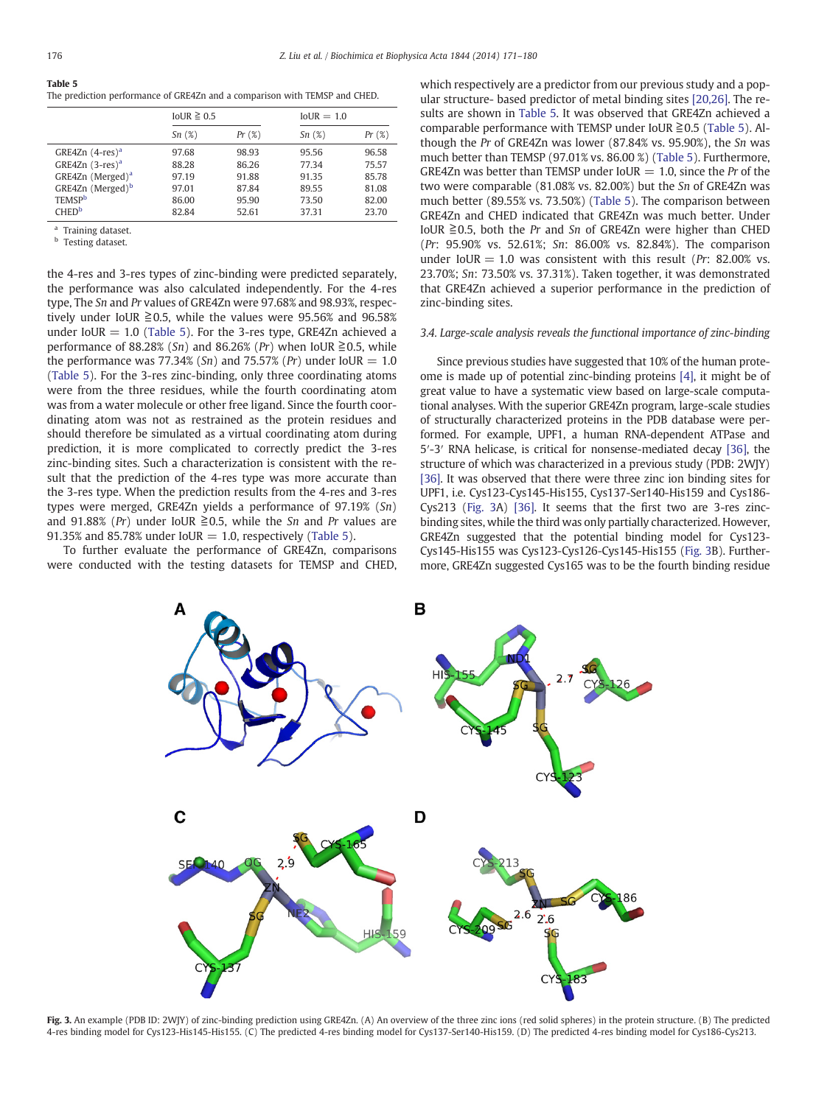#### <span id="page-5-0"></span>Table 5 The prediction performance of GRE4Zn and a comparison with TEMSP and CHED.

|                                | IoUR $\geq 0.5$ |       | $IoUR = 1.0$ |       |
|--------------------------------|-----------------|-------|--------------|-------|
|                                | Sn(%)           | Pr(%) | Sn(%)        | Pr(%) |
| GRE4Zn $(4$ -res) <sup>a</sup> | 97.68           | 98.93 | 95.56        | 96.58 |
| GRE4Zn $(3$ -res) <sup>a</sup> | 88.28           | 86.26 | 77.34        | 75.57 |
| GRE4Zn (Merged) <sup>a</sup>   | 97.19           | 91.88 | 91.35        | 85.78 |
| GRE4Zn (Merged) <sup>b</sup>   | 97.01           | 87.84 | 89.55        | 81.08 |
| <b>TEMSP</b>                   | 86.00           | 95.90 | 73.50        | 82.00 |
| <b>CHED</b> <sup>b</sup>       | 82.84           | 52.61 | 37.31        | 23.70 |

Training dataset.

Testing dataset.

the 4-res and 3-res types of zinc-binding were predicted separately, the performance was also calculated independently. For the 4-res type, The Sn and Pr values of GRE4Zn were 97.68% and 98.93%, respectively under IoUR  $\geq 0.5$ , while the values were 95.56% and 96.58% under IoUR  $= 1.0$  (Table 5). For the 3-res type, GRE4Zn achieved a performance of 88.28% (Sn) and 86.26% (Pr) when IoUR  $\geq 0.5$ , while the performance was 77.34% (Sn) and 75.57% (Pr) under IoUR  $= 1.0$ (Table 5). For the 3-res zinc-binding, only three coordinating atoms were from the three residues, while the fourth coordinating atom was from a water molecule or other free ligand. Since the fourth coordinating atom was not as restrained as the protein residues and should therefore be simulated as a virtual coordinating atom during prediction, it is more complicated to correctly predict the 3-res zinc-binding sites. Such a characterization is consistent with the result that the prediction of the 4-res type was more accurate than the 3-res type. When the prediction results from the 4-res and 3-res types were merged, GRE4Zn yields a performance of 97.19% (Sn) and 91.88% (Pr) under IoUR  $\geq 0.5$ , while the Sn and Pr values are 91.35% and 85.78% under IoUR  $= 1.0$ , respectively (Table 5).

To further evaluate the performance of GRE4Zn, comparisons were conducted with the testing datasets for TEMSP and CHED, which respectively are a predictor from our previous study and a popular structure- based predictor of metal binding sites [\[20,26\]](#page-8-0). The results are shown in Table 5. It was observed that GRE4Zn achieved a comparable performance with TEMSP under IoUR  $\geq 0.5$  (Table 5). Although the Pr of GRE4Zn was lower (87.84% vs. 95.90%), the Sn was much better than TEMSP (97.01% vs. 86.00 %) (Table 5). Furthermore, GRE4Zn was better than TEMSP under IoUR  $= 1.0$ , since the Pr of the two were comparable (81.08% vs. 82.00%) but the Sn of GRE4Zn was much better (89.55% vs. 73.50%) (Table 5). The comparison between GRE4Zn and CHED indicated that GRE4Zn was much better. Under IoUR  $\geq$  0.5, both the Pr and Sn of GRE4Zn were higher than CHED (Pr: 95.90% vs. 52.61%; Sn: 86.00% vs. 82.84%). The comparison under IoUR = 1.0 was consistent with this result (Pr: 82.00% vs. 23.70%; Sn: 73.50% vs. 37.31%). Taken together, it was demonstrated that GRE4Zn achieved a superior performance in the prediction of zinc-binding sites.

#### 3.4. Large-scale analysis reveals the functional importance of zinc-binding

Since previous studies have suggested that 10% of the human proteome is made up of potential zinc-binding proteins [\[4\],](#page-8-0) it might be of great value to have a systematic view based on large-scale computational analyses. With the superior GRE4Zn program, large-scale studies of structurally characterized proteins in the PDB database were performed. For example, UPF1, a human RNA-dependent ATPase and 5′-3′ RNA helicase, is critical for nonsense-mediated decay [\[36\],](#page-8-0) the structure of which was characterized in a previous study (PDB: 2WJY) [\[36\]](#page-8-0). It was observed that there were three zinc ion binding sites for UPF1, i.e. Cys123-Cys145-His155, Cys137-Ser140-His159 and Cys186- Cys213 (Fig. 3A) [\[36\]](#page-8-0). It seems that the first two are 3-res zincbinding sites, while the third was only partially characterized. However, GRE4Zn suggested that the potential binding model for Cys123- Cys145-His155 was Cys123-Cys126-Cys145-His155 (Fig. 3B). Furthermore, GRE4Zn suggested Cys165 was to be the fourth binding residue



Fig. 3. An example (PDB ID: 2WJY) of zinc-binding prediction using GRE4Zn. (A) An overview of the three zinc ions (red solid spheres) in the protein structure. (B) The predicted 4-res binding model for Cys123-His145-His155. (C) The predicted 4-res binding model for Cys137-Ser140-His159. (D) The predicted 4-res binding model for Cys186-Cys213.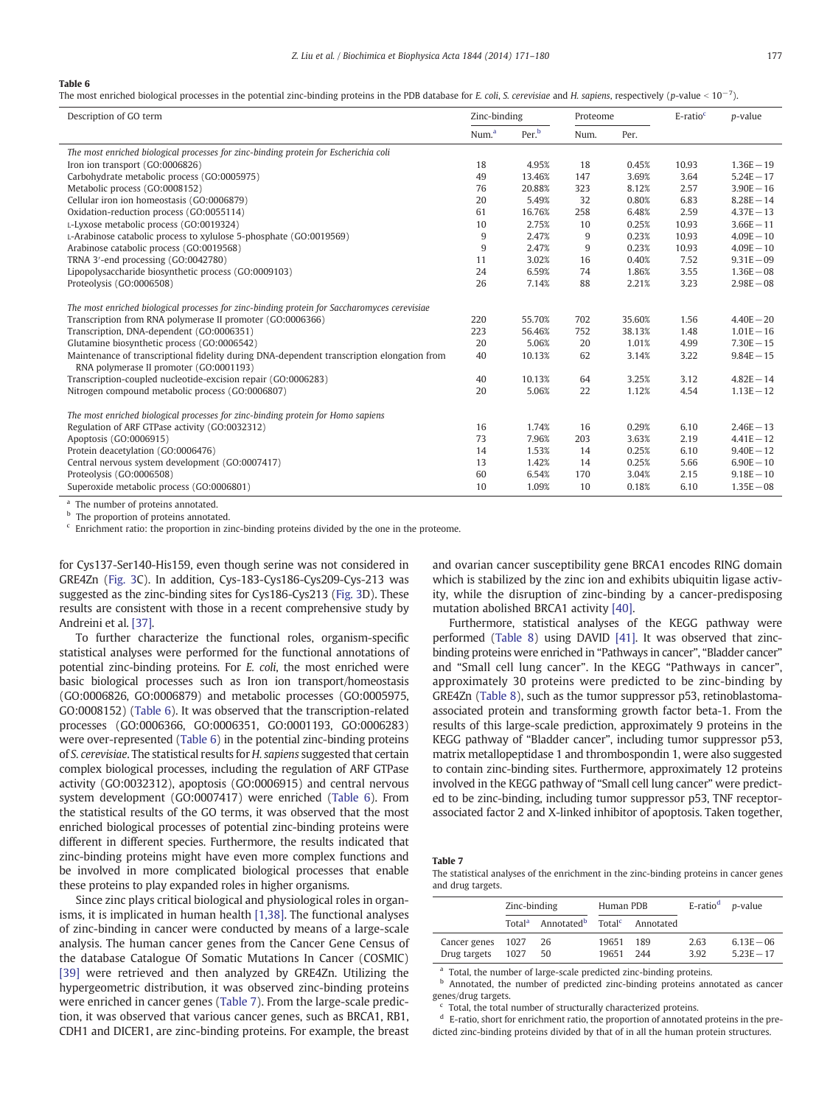### <span id="page-6-0"></span>Table 6

The most enriched biological processes in the potential zinc-binding proteins in the PDB database for E. coli, S. cerevisiae and H. sapiens, respectively (p-value <  $10^{-7}$ ).

| Description of GO term                                                                       | Zinc-binding      |                   | Proteome |        | $E$ -ratio $c$ | p-value      |
|----------------------------------------------------------------------------------------------|-------------------|-------------------|----------|--------|----------------|--------------|
|                                                                                              | Num. <sup>a</sup> | Per. <sup>b</sup> | Num.     | Per.   |                |              |
| The most enriched biological processes for zinc-binding protein for Escherichia coli         |                   |                   |          |        |                |              |
| Iron ion transport (GO:0006826)                                                              | 18                | 4.95%             | 18       | 0.45%  | 10.93          | $1.36E - 19$ |
| Carbohydrate metabolic process (GO:0005975)                                                  | 49                | 13.46%            | 147      | 3.69%  | 3.64           | $5.24E - 17$ |
| Metabolic process (GO:0008152)                                                               | 76                | 20.88%            | 323      | 8.12%  | 2.57           | $3.90E - 16$ |
| Cellular iron ion homeostasis (GO:0006879)                                                   | 20                | 5.49%             | 32       | 0.80%  | 6.83           | $8.28E - 14$ |
| Oxidation-reduction process (GO:0055114)                                                     | 61                | 16.76%            | 258      | 6.48%  | 2.59           | $4.37E - 13$ |
| L-Lyxose metabolic process (GO:0019324)                                                      | 10                | 2.75%             | 10       | 0.25%  | 10.93          | $3.66E - 11$ |
| L-Arabinose catabolic process to xylulose 5-phosphate (GO:0019569)                           | 9                 | 2.47%             | 9        | 0.23%  | 10.93          | $4.09E - 10$ |
| Arabinose catabolic process (GO:0019568)                                                     | 9                 | 2.47%             | 9        | 0.23%  | 10.93          | $4.09E - 10$ |
| TRNA 3'-end processing (GO:0042780)                                                          | 11                | 3.02%             | 16       | 0.40%  | 7.52           | $9.31E - 09$ |
| Lipopolysaccharide biosynthetic process (GO:0009103)                                         | 24                | 6.59%             | 74       | 1.86%  | 3.55           | $1.36E - 08$ |
| Proteolysis (GO:0006508)                                                                     | 26                | 7.14%             | 88       | 2.21%  | 3.23           | $2.98E - 08$ |
| The most enriched biological processes for zinc-binding protein for Saccharomyces cerevisiae |                   |                   |          |        |                |              |
| Transcription from RNA polymerase II promoter (GO:0006366)                                   | 220               | 55.70%            | 702      | 35.60% | 1.56           | $4.40E - 20$ |
| Transcription, DNA-dependent (GO:0006351)                                                    | 223               | 56.46%            | 752      | 38.13% | 1.48           | $1.01E - 16$ |
| Glutamine biosynthetic process (GO:0006542)                                                  | 20                | 5.06%             | 20       | 1.01%  | 4.99           | $7.30E - 15$ |
| Maintenance of transcriptional fidelity during DNA-dependent transcription elongation from   | 40                | 10.13%            | 62       | 3.14%  | 3.22           | $9.84E - 15$ |
| RNA polymerase II promoter (GO:0001193)                                                      |                   |                   |          |        |                |              |
| Transcription-coupled nucleotide-excision repair (GO:0006283)                                | 40                | 10.13%            | 64       | 3.25%  | 3.12           | $4.82E - 14$ |
| Nitrogen compound metabolic process (GO:0006807)                                             | 20                | 5.06%             | 22       | 1.12%  | 4.54           | $1.13E - 12$ |
| The most enriched biological processes for zinc-binding protein for Homo sapiens             |                   |                   |          |        |                |              |
| Regulation of ARF GTPase activity (GO:0032312)                                               | 16                | 1.74%             | 16       | 0.29%  | 6.10           | $2.46E - 13$ |
| Apoptosis (GO:0006915)                                                                       | 73                | 7.96%             | 203      | 3.63%  | 2.19           | $4.41E - 12$ |
| Protein deacetylation (GO:0006476)                                                           | 14                | 1.53%             | 14       | 0.25%  | 6.10           | $9.40E - 12$ |
| Central nervous system development (GO:0007417)                                              | 13                | 1.42%             | 14       | 0.25%  | 5.66           | $6.90E - 10$ |
| Proteolysis (GO:0006508)                                                                     | 60                | 6.54%             | 170      | 3.04%  | 2.15           | $9.18E - 10$ |
| Superoxide metabolic process (GO:0006801)                                                    | 10                | 1.09%             | 10       | 0.18%  | 6.10           | $1.35E - 08$ |

<sup>a</sup> The number of proteins annotated. The proportion of proteins annotated.

 $\epsilon$  Enrichment ratio: the proportion in zinc-binding proteins divided by the one in the proteome.

for Cys137-Ser140-His159, even though serine was not considered in GRE4Zn [\(Fig. 3](#page-5-0)C). In addition, Cys-183-Cys186-Cys209-Cys-213 was suggested as the zinc-binding sites for Cys186-Cys213 [\(Fig. 3](#page-5-0)D). These results are consistent with those in a recent comprehensive study by Andreini et al. [\[37\].](#page-8-0)

To further characterize the functional roles, organism-specific statistical analyses were performed for the functional annotations of potential zinc-binding proteins. For E. coli, the most enriched were basic biological processes such as Iron ion transport/homeostasis (GO:0006826, GO:0006879) and metabolic processes (GO:0005975, GO:0008152) (Table 6). It was observed that the transcription-related processes (GO:0006366, GO:0006351, GO:0001193, GO:0006283) were over-represented (Table 6) in the potential zinc-binding proteins of S. cerevisiae. The statistical results for H. sapiens suggested that certain complex biological processes, including the regulation of ARF GTPase activity (GO:0032312), apoptosis (GO:0006915) and central nervous system development (GO:0007417) were enriched (Table 6). From the statistical results of the GO terms, it was observed that the most enriched biological processes of potential zinc-binding proteins were different in different species. Furthermore, the results indicated that zinc-binding proteins might have even more complex functions and be involved in more complicated biological processes that enable these proteins to play expanded roles in higher organisms.

Since zinc plays critical biological and physiological roles in organisms, it is implicated in human health [\[1,38\].](#page-8-0) The functional analyses of zinc-binding in cancer were conducted by means of a large-scale analysis. The human cancer genes from the Cancer Gene Census of the database Catalogue Of Somatic Mutations In Cancer (COSMIC) [\[39\]](#page-8-0) were retrieved and then analyzed by GRE4Zn. Utilizing the hypergeometric distribution, it was observed zinc-binding proteins were enriched in cancer genes (Table 7). From the large-scale prediction, it was observed that various cancer genes, such as BRCA1, RB1, CDH1 and DICER1, are zinc-binding proteins. For example, the breast

and ovarian cancer susceptibility gene BRCA1 encodes RING domain which is stabilized by the zinc ion and exhibits ubiquitin ligase activity, while the disruption of zinc-binding by a cancer-predisposing mutation abolished BRCA1 activity [\[40\].](#page-8-0)

Furthermore, statistical analyses of the KEGG pathway were performed ([Table 8](#page-7-0)) using DAVID [\[41\]](#page-8-0). It was observed that zincbinding proteins were enriched in "Pathways in cancer", "Bladder cancer" and "Small cell lung cancer". In the KEGG "Pathways in cancer", approximately 30 proteins were predicted to be zinc-binding by GRE4Zn ([Table 8\)](#page-7-0), such as the tumor suppressor p53, retinoblastomaassociated protein and transforming growth factor beta-1. From the results of this large-scale prediction, approximately 9 proteins in the KEGG pathway of "Bladder cancer", including tumor suppressor p53, matrix metallopeptidase 1 and thrombospondin 1, were also suggested to contain zinc-binding sites. Furthermore, approximately 12 proteins involved in the KEGG pathway of "Small cell lung cancer" were predicted to be zinc-binding, including tumor suppressor p53, TNF receptorassociated factor 2 and X-linked inhibitor of apoptosis. Taken together,

Table 7

The statistical analyses of the enrichment in the zinc-binding proteins in cancer genes and drug targets.

|                              | Zinc-binding       |                                           | Human PDB      |            | E-ratio <sup>d</sup> <i>p</i> -value |                              |
|------------------------------|--------------------|-------------------------------------------|----------------|------------|--------------------------------------|------------------------------|
|                              | Total <sup>a</sup> | Annotated <sup>b</sup> Total <sup>c</sup> |                | Annotated  |                                      |                              |
| Cancer genes<br>Drug targets | 1027<br>1027       | 26<br>50                                  | 19651<br>19651 | 189<br>244 | 2.63<br>3.92                         | $6.13E - 06$<br>$5.23E - 17$ |

<sup>a</sup> Total, the number of large-scale predicted zinc-binding proteins.

b Annotated, the number of predicted zinc-binding proteins annotated as cancer genes/drug targets.

Total, the total number of structurally characterized proteins.

<sup>d</sup> E-ratio, short for enrichment ratio, the proportion of annotated proteins in the predicted zinc-binding proteins divided by that of in all the human protein structures.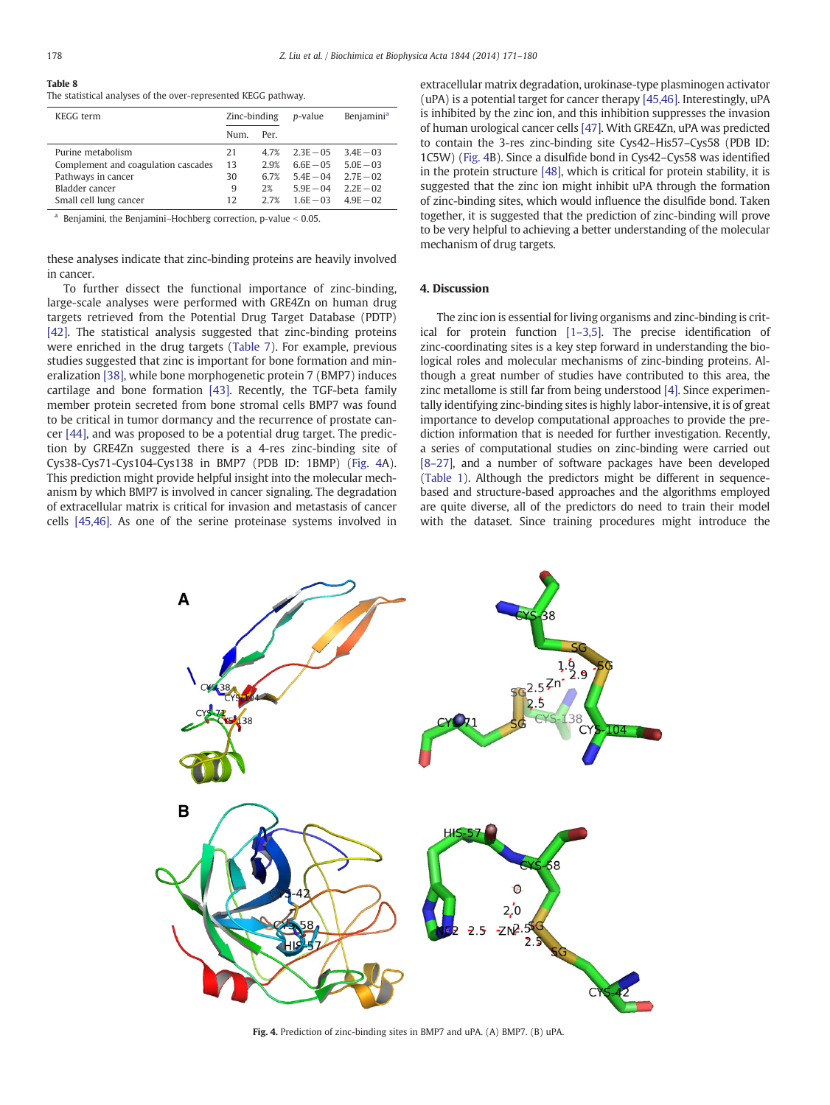<span id="page-7-0"></span>

| Table 8                                                        |  |
|----------------------------------------------------------------|--|
| The statistical analyses of the over-represented KEGG pathway. |  |

| KEGG term                           | Zinc-binding |      | <i>p</i> -value | <b>Benjamini</b> <sup>a</sup> |
|-------------------------------------|--------------|------|-----------------|-------------------------------|
|                                     | Num.         | Per. |                 |                               |
| Purine metabolism                   | 21           | 4.7% | $2.3E - 0.5$    | $34E - 03$                    |
| Complement and coagulation cascades | 13           | 2.9% | $6.6E - 0.5$    | $5.0E - 03$                   |
| Pathways in cancer                  | 30           | 6.7% | $5.4E - 04$     | $2.7F - 02$                   |
| Bladder cancer                      | 9            | 2%   | $5.9E - 04$     | $2.2E - 02$                   |
| Small cell lung cancer              | 12           | 2.7% | $1.6E - 03$     | $4.9E - 02$                   |

<sup>a</sup> Benjamini, the Benjamini–Hochberg correction, p-value  $< 0.05$ .

these analyses indicate that zinc-binding proteins are heavily involved in cancer.

To further dissect the functional importance of zinc-binding, large-scale analyses were performed with GRE4Zn on human drug targets retrieved from the Potential Drug Target Database (PDTP) [\[42\]](#page-8-0). The statistical analysis suggested that zinc-binding proteins were enriched in the drug targets [\(Table 7](#page-6-0)). For example, previous studies suggested that zinc is important for bone formation and mineralization [\[38\],](#page-8-0) while bone morphogenetic protein 7 (BMP7) induces cartilage and bone formation [\[43\].](#page-8-0) Recently, the TGF-beta family member protein secreted from bone stromal cells BMP7 was found to be critical in tumor dormancy and the recurrence of prostate cancer [\[44\],](#page-8-0) and was proposed to be a potential drug target. The prediction by GRE4Zn suggested there is a 4-res zinc-binding site of Cys38-Cys71-Cys104-Cys138 in BMP7 (PDB ID: 1BMP) (Fig. 4A). This prediction might provide helpful insight into the molecular mechanism by which BMP7 is involved in cancer signaling. The degradation of extracellular matrix is critical for invasion and metastasis of cancer cells [\[45,46\].](#page-8-0) As one of the serine proteinase systems involved in extracellular matrix degradation, urokinase-type plasminogen activator (uPA) is a potential target for cancer therapy [\[45,46\]](#page-8-0). Interestingly, uPA is inhibited by the zinc ion, and this inhibition suppresses the invasion of human urological cancer cells [\[47\]](#page-9-0). With GRE4Zn, uPA was predicted to contain the 3-res zinc-binding site Cys42–His57–Cys58 (PDB ID: 1C5W) (Fig. 4B). Since a disulfide bond in Cys42–Cys58 was identified in the protein structure [\[48\],](#page-9-0) which is critical for protein stability, it is suggested that the zinc ion might inhibit uPA through the formation of zinc-binding sites, which would influence the disulfide bond. Taken together, it is suggested that the prediction of zinc-binding will prove to be very helpful to achieving a better understanding of the molecular mechanism of drug targets.

# 4. Discussion

The zinc ion is essential for living organisms and zinc-binding is critical for protein function [1–[3,5\].](#page-8-0) The precise identification of zinc-coordinating sites is a key step forward in understanding the biological roles and molecular mechanisms of zinc-binding proteins. Although a great number of studies have contributed to this area, the zinc metallome is still far from being understood [\[4\].](#page-8-0) Since experimentally identifying zinc-binding sites is highly labor-intensive, it is of great importance to develop computational approaches to provide the prediction information that is needed for further investigation. Recently, a series of computational studies on zinc-binding were carried out [8–[27\]](#page-8-0), and a number of software packages have been developed [\(Table 1\)](#page-1-0). Although the predictors might be different in sequencebased and structure-based approaches and the algorithms employed are quite diverse, all of the predictors do need to train their model with the dataset. Since training procedures might introduce the



Fig. 4. Prediction of zinc-binding sites in BMP7 and uPA. (A) BMP7. (B) uPA.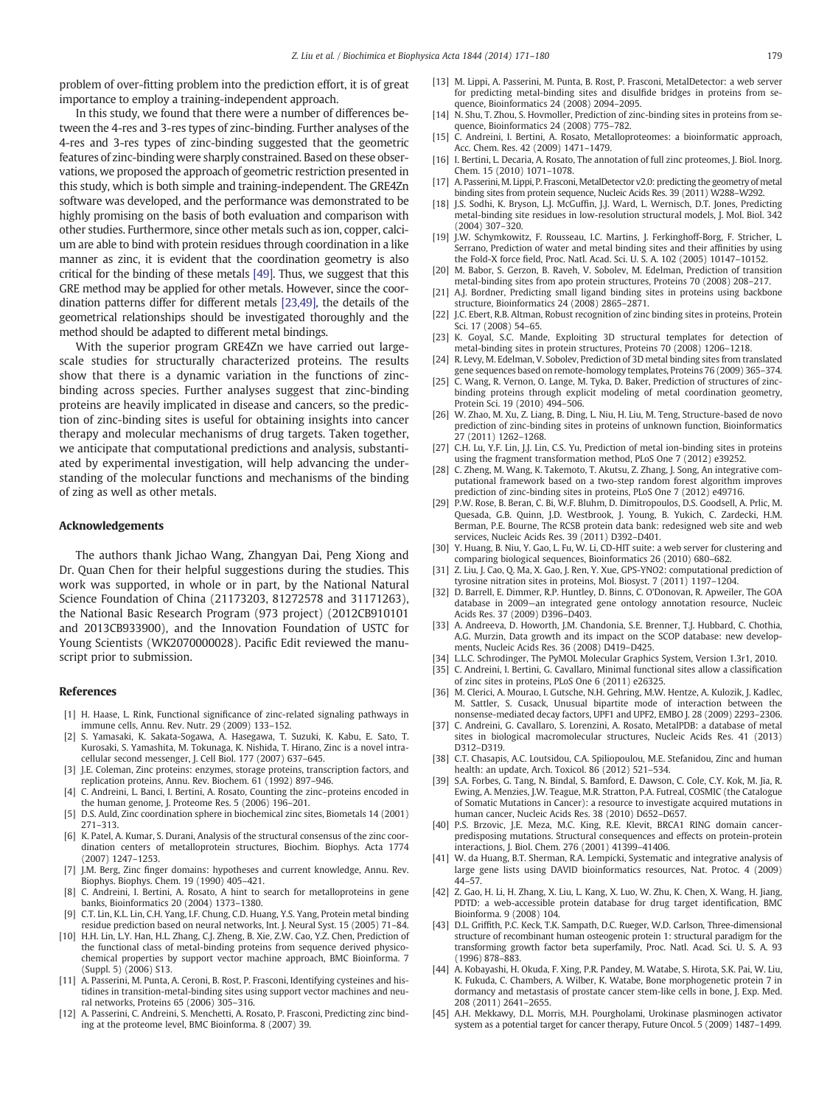<span id="page-8-0"></span>problem of over-fitting problem into the prediction effort, it is of great importance to employ a training-independent approach.

In this study, we found that there were a number of differences between the 4-res and 3-res types of zinc-binding. Further analyses of the 4-res and 3-res types of zinc-binding suggested that the geometric features of zinc-binding were sharply constrained. Based on these observations, we proposed the approach of geometric restriction presented in this study, which is both simple and training-independent. The GRE4Zn software was developed, and the performance was demonstrated to be highly promising on the basis of both evaluation and comparison with other studies. Furthermore, since other metals such as ion, copper, calcium are able to bind with protein residues through coordination in a like manner as zinc, it is evident that the coordination geometry is also critical for the binding of these metals [\[49\].](#page-9-0) Thus, we suggest that this GRE method may be applied for other metals. However, since the coordination patterns differ for different metals [23,49], the details of the geometrical relationships should be investigated thoroughly and the method should be adapted to different metal bindings.

With the superior program GRE4Zn we have carried out largescale studies for structurally characterized proteins. The results show that there is a dynamic variation in the functions of zincbinding across species. Further analyses suggest that zinc-binding proteins are heavily implicated in disease and cancers, so the prediction of zinc-binding sites is useful for obtaining insights into cancer therapy and molecular mechanisms of drug targets. Taken together, we anticipate that computational predictions and analysis, substantiated by experimental investigation, will help advancing the understanding of the molecular functions and mechanisms of the binding of zing as well as other metals.

### Acknowledgements

The authors thank Jichao Wang, Zhangyan Dai, Peng Xiong and Dr. Quan Chen for their helpful suggestions during the studies. This work was supported, in whole or in part, by the National Natural Science Foundation of China (21173203, 81272578 and 31171263), the National Basic Research Program (973 project) (2012CB910101 and 2013CB933900), and the Innovation Foundation of USTC for Young Scientists (WK2070000028). Pacific Edit reviewed the manuscript prior to submission.

#### References

- [1] H. Haase, L. Rink, Functional significance of zinc-related signaling pathways in immune cells, Annu. Rev. Nutr. 29 (2009) 133–152.
- [2] S. Yamasaki, K. Sakata-Sogawa, A. Hasegawa, T. Suzuki, K. Kabu, E. Sato, T. Kurosaki, S. Yamashita, M. Tokunaga, K. Nishida, T. Hirano, Zinc is a novel intracellular second messenger, J. Cell Biol. 177 (2007) 637–645.
- [3] J.E. Coleman, Zinc proteins: enzymes, storage proteins, transcription factors, and replication proteins, Annu. Rev. Biochem. 61 (1992) 897–946.
- [4] C. Andreini, L. Banci, I. Bertini, A. Rosato, Counting the zinc-proteins encoded in the human genome, J. Proteome Res. 5 (2006) 196–201.
- [5] D.S. Auld, Zinc coordination sphere in biochemical zinc sites, Biometals 14 (2001) 271–313.
- [6] K. Patel, A. Kumar, S. Durani, Analysis of the structural consensus of the zinc coordination centers of metalloprotein structures, Biochim. Biophys. Acta 1774 (2007) 1247–1253.
- [7] J.M. Berg, Zinc finger domains: hypotheses and current knowledge, Annu. Rev. Biophys. Biophys. Chem. 19 (1990) 405–421.
- [8] C. Andreini, I. Bertini, A. Rosato, A hint to search for metalloproteins in gene banks, Bioinformatics 20 (2004) 1373–1380.
- [9] C.T. Lin, K.L. Lin, C.H. Yang, I.F. Chung, C.D. Huang, Y.S. Yang, Protein metal binding residue prediction based on neural networks, Int. J. Neural Syst. 15 (2005) 71–84.
- [10] H.H. Lin, L.Y. Han, H.L. Zhang, C.J. Zheng, B. Xie, Z.W. Cao, Y.Z. Chen, Prediction of the functional class of metal-binding proteins from sequence derived physicochemical properties by support vector machine approach, BMC Bioinforma. 7  $(Sumbel, 5) (2006)$  S13.
- [11] A. Passerini, M. Punta, A. Ceroni, B. Rost, P. Frasconi, Identifying cysteines and histidines in transition-metal-binding sites using support vector machines and neural networks, Proteins 65 (2006) 305–316.
- [12] A. Passerini, C. Andreini, S. Menchetti, A. Rosato, P. Frasconi, Predicting zinc binding at the proteome level, BMC Bioinforma. 8 (2007) 39.
- [13] M. Lippi, A. Passerini, M. Punta, B. Rost, P. Frasconi, MetalDetector: a web server for predicting metal-binding sites and disulfide bridges in proteins from sequence, Bioinformatics 24 (2008) 2094–2095.
- [14] N. Shu, T. Zhou, S. Hovmoller, Prediction of zinc-binding sites in proteins from sequence, Bioinformatics 24 (2008) 775–782.
- [15] C. Andreini, I. Bertini, A. Rosato, Metalloproteomes: a bioinformatic approach, Acc. Chem. Res. 42 (2009) 1471–1479.
- [16] I. Bertini, L. Decaria, A. Rosato, The annotation of full zinc proteomes, J. Biol. Inorg. Chem. 15 (2010) 1071–1078.
- [17] A. Passerini, M. Lippi, P. Frasconi, MetalDetector v2.0: predicting the geometry of metal binding sites from protein sequence. Nucleic Acids Res. 39 (2011) W288–W292.
- [18] J.S. Sodhi, K. Bryson, L.J. McGuffin, J.J. Ward, L. Wernisch, D.T. Jones, Predicting metal-binding site residues in low-resolution structural models, J. Mol. Biol. 342 (2004) 307–320.
- [19] J.W. Schymkowitz, F. Rousseau, I.C. Martins, J. Ferkinghoff-Borg, F. Stricher, L. Serrano, Prediction of water and metal binding sites and their affinities by using the Fold-X force field, Proc. Natl. Acad. Sci. U. S. A. 102 (2005) 10147–10152.
- [20] M. Babor, S. Gerzon, B. Raveh, V. Sobolev, M. Edelman, Prediction of transition metal-binding sites from apo protein structures, Proteins 70 (2008) 208–217.
- [21] A.J. Bordner, Predicting small ligand binding sites in proteins using backbone structure, Bioinformatics 24 (2008) 2865–2871.
- [22] J.C. Ebert, R.B. Altman, Robust recognition of zinc binding sites in proteins, Protein Sci. 17 (2008) 54–65.
- [23] K. Goyal, S.C. Mande, Exploiting 3D structural templates for detection of metal-binding sites in protein structures, Proteins 70 (2008) 1206–1218.
- R. Levy, M. Edelman, V. Sobolev, Prediction of 3D metal binding sites from translated gene sequences based on remote-homology templates, Proteins 76 (2009) 365–374.
- [25] C. Wang, R. Vernon, O. Lange, M. Tyka, D. Baker, Prediction of structures of zincbinding proteins through explicit modeling of metal coordination geometry, Protein Sci. 19 (2010) 494–506.
- [26] W. Zhao, M. Xu, Z. Liang, B. Ding, L. Niu, H. Liu, M. Teng, Structure-based de novo prediction of zinc-binding sites in proteins of unknown function, Bioinformatics 27 (2011) 1262–1268.
- C.H. Lu, Y.F. Lin, J.J. Lin, C.S. Yu, Prediction of metal ion-binding sites in proteins using the fragment transformation method, PLoS One 7 (2012) e39252.
- [28] C. Zheng, M. Wang, K. Takemoto, T. Akutsu, Z. Zhang, J. Song, An integrative computational framework based on a two-step random forest algorithm improves prediction of zinc-binding sites in proteins, PLoS One 7 (2012) e49716.
- [29] P.W. Rose, B. Beran, C. Bi, W.F. Bluhm, D. Dimitropoulos, D.S. Goodsell, A. Prlic, M. Quesada, G.B. Quinn, J.D. Westbrook, J. Young, B. Yukich, C. Zardecki, H.M. Berman, P.E. Bourne, The RCSB protein data bank: redesigned web site and web services, Nucleic Acids Res. 39 (2011) D392–D401.
- [30] Y. Huang, B. Niu, Y. Gao, L. Fu, W. Li, CD-HIT suite: a web server for clustering and comparing biological sequences, Bioinformatics 26 (2010) 680–682.
- [31] Z. Liu, J. Cao, Q. Ma, X. Gao, J. Ren, Y. Xue, GPS-YNO2: computational prediction of tyrosine nitration sites in proteins, Mol. Biosyst. 7 (2011) 1197–1204.
- [32] D. Barrell, E. Dimmer, R.P. Huntley, D. Binns, C. O'Donovan, R. Apweiler, The GOA database in 2009—an integrated gene ontology annotation resource, Nucleic Acids Res. 37 (2009) D396–D403.
- [33] A. Andreeva, D. Howorth, J.M. Chandonia, S.E. Brenner, T.J. Hubbard, C. Chothia, A.G. Murzin, Data growth and its impact on the SCOP database: new developments, Nucleic Acids Res. 36 (2008) D419–D425.
- [34] L.L.C. Schrodinger, The PyMOL Molecular Graphics System, Version 1.3r1, 2010.
- [35] C. Andreini, I. Bertini, G. Cavallaro, Minimal functional sites allow a classification of zinc sites in proteins, PLoS One 6 (2011) e26325.
- [36] M. Clerici, A. Mourao, I. Gutsche, N.H. Gehring, M.W. Hentze, A. Kulozik, J. Kadlec, M. Sattler, S. Cusack, Unusual bipartite mode of interaction between the nonsense-mediated decay factors, UPF1 and UPF2, EMBO J. 28 (2009) 2293–2306.
- [37] C. Andreini, G. Cavallaro, S. Lorenzini, A. Rosato, MetalPDB: a database of metal sites in biological macromolecular structures, Nucleic Acids Res. 41 (2013) D312–D319.
- [38] C.T. Chasapis, A.C. Loutsidou, C.A. Spiliopoulou, M.E. Stefanidou, Zinc and human health: an update, Arch. Toxicol. 86 (2012) 521–534.
- [39] S.A. Forbes, G. Tang, N. Bindal, S. Bamford, E. Dawson, C. Cole, C.Y. Kok, M. Jia, R. Ewing, A. Menzies, J.W. Teague, M.R. Stratton, P.A. Futreal, COSMIC (the Catalogue of Somatic Mutations in Cancer): a resource to investigate acquired mutations in human cancer, Nucleic Acids Res. 38 (2010) D652–D657.
- [40] P.S. Brzovic, J.E. Meza, M.C. King, R.E. Klevit, BRCA1 RING domain cancerpredisposing mutations. Structural consequences and effects on protein-protein interactions, J. Biol. Chem. 276 (2001) 41399–41406.
- [41] W. da Huang, B.T. Sherman, R.A. Lempicki, Systematic and integrative analysis of large gene lists using DAVID bioinformatics resources, Nat. Protoc. 4 (2009) 44–57.
- [42] Z. Gao, H. Li, H. Zhang, X. Liu, L. Kang, X. Luo, W. Zhu, K. Chen, X. Wang, H. Jiang, PDTD: a web-accessible protein database for drug target identification, BMC Bioinforma. 9 (2008) 104.
- [43] D.L. Griffith, P.C. Keck, T.K. Sampath, D.C. Rueger, W.D. Carlson, Three-dimensional structure of recombinant human osteogenic protein 1: structural paradigm for the transforming growth factor beta superfamily, Proc. Natl. Acad. Sci. U. S. A. 93 (1996) 878–883.
- [44] A. Kobayashi, H. Okuda, F. Xing, P.R. Pandey, M. Watabe, S. Hirota, S.K. Pai, W. Liu, K. Fukuda, C. Chambers, A. Wilber, K. Watabe, Bone morphogenetic protein 7 in dormancy and metastasis of prostate cancer stem-like cells in bone, J. Exp. Med. 208 (2011) 2641–2655.
- [45] A.H. Mekkawy, D.L. Morris, M.H. Pourgholami, Urokinase plasminogen activator system as a potential target for cancer therapy, Future Oncol. 5 (2009) 1487–1499.